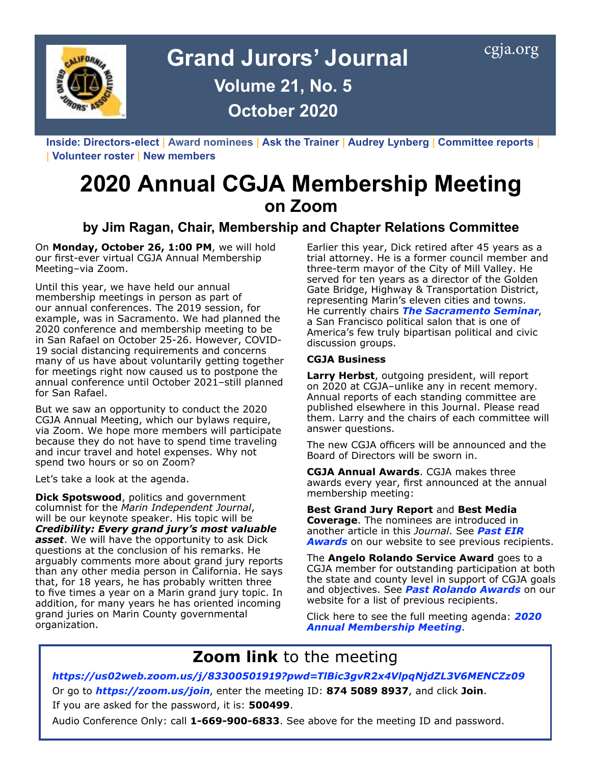

**Inside: Directors-elect | Award nominees | Ask the Trainer | Audrey Lynberg | Committee reports | | Volunteer roster | New members** 

# **2020 Annual CGJA Membership Meeting on Zoom**

## **by Jim Ragan, Chair, Membership and Chapter Relations Committee**

On **Monday, October 26, 1:00 PM**, we will hold our first-ever virtual CGJA Annual Membership Meeting–via Zoom.

Until this year, we have held our annual membership meetings in person as part of our annual conferences. The 2019 session, for example, was in Sacramento. We had planned the 2020 conference and membership meeting to be in San Rafael on October 25-26. However, COVID-19 social distancing requirements and concerns many of us have about voluntarily getting together for meetings right now caused us to postpone the annual conference until October 2021–still planned for San Rafael.

But we saw an opportunity to conduct the 2020 CGJA Annual Meeting, which our bylaws require, via Zoom. We hope more members will participate because they do not have to spend time traveling and incur travel and hotel expenses. Why not spend two hours or so on Zoom?

Let's take a look at the agenda.

**Dick Spotswood**, politics and government columnist for the *Marin Independent Journal*, will be our keynote speaker. His topic will be *Credibility: Every grand jury's most valuable asset*. We will have the opportunity to ask Dick questions at the conclusion of his remarks. He arguably comments more about grand jury reports than any other media person in California. He says that, for 18 years, he has probably written three to five times a year on a Marin grand jury topic. In addition, for many years he has oriented incoming grand juries on Marin County governmental organization.

Earlier this year, Dick retired after 45 years as a trial attorney. He is a former council member and three-term mayor of the City of Mill Valley. He served for ten years as a director of the Golden Gate Bridge, Highway & Transportation District, representing Marin's eleven cities and towns. He currently chairs *[The Sacramento Seminar](https://www.sacsem.net/)*, a San Francisco political salon that is one of America's few truly bipartisan political and civic discussion groups.

#### **CGJA Business**

**Larry Herbst**, outgoing president, will report on 2020 at CGJA–unlike any in recent memory. Annual reports of each standing committee are published elsewhere in this Journal. Please read them. Larry and the chairs of each committee will answer questions.

The new CGJA officers will be announced and the Board of Directors will be sworn in.

**CGJA Annual Awards**. CGJA makes three awards every year, first announced at the annual membership meeting:

**Best Grand Jury Report** and **Best Media Coverage.** The nominees are introduced in another article in this *Journal*. See *[Past EIR](https://cgja.org/sites/default/files/2019_eir_past_awards_rr.pdf)  [Awards](https://cgja.org/sites/default/files/2019_eir_past_awards_rr.pdf)* on our website to see previous recipients.

The **Angelo Rolando Service Award** goes to a CGJA member for outstanding participation at both the state and county level in support of CGJA goals and objectives. See *[Past Rolando Awards](https://cgja.org/sites/default/files/angelo_rolando_award_history.pdf)* on our website for a list of previous recipients.

Click here to see the full meeting agenda: *[2020](https://cgja.org/annual-conference)  [Annual Membership Meeting](https://cgja.org/annual-conference)*.

## **Zoom link** to the meeting

*<https://us02web.zoom.us/j/83300501919?pwd=TlBic3gvR2x4VlpqNjdZL3V6MENCZz09>* Or go to *<https://zoom.us/join>*, enter the meeting ID: **874 5089 8937**, and click **Join**.

If you are asked for the password, it is: **500499**.

Audio Conference Only: call **1-669-900-6833**. See above for the meeting ID and password.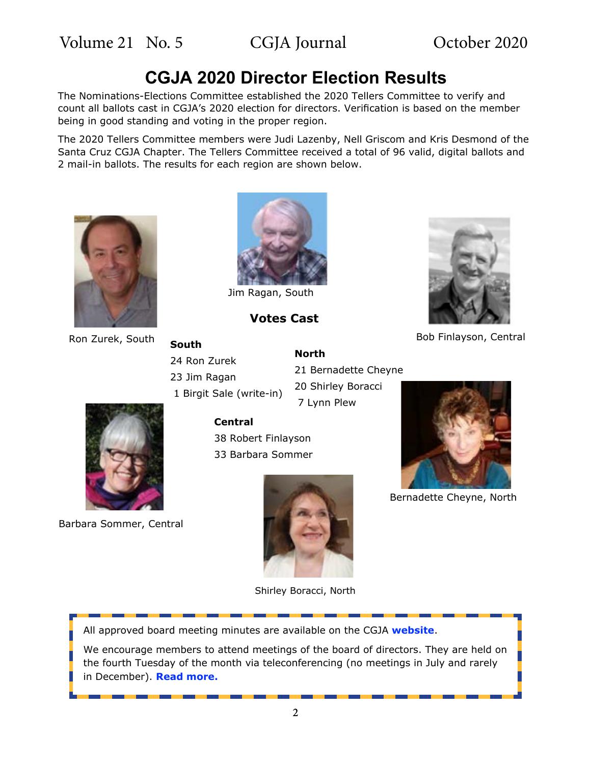## **CGJA 2020 Director Election Results**

The Nominations-Elections Committee established the 2020 Tellers Committee to verify and count all ballots cast in CGJA's 2020 election for directors. Verification is based on the member being in good standing and voting in the proper region.

The 2020 Tellers Committee members were Judi Lazenby, Nell Griscom and Kris Desmond of the Santa Cruz CGJA Chapter. The Tellers Committee received a total of 96 valid, digital ballots and 2 mail-in ballots. The results for each region are shown below.





Jim Ragan, South

**Votes Cast**

**North**



### Ron Zurek, South **Bouth** Bob Finlayson, Central **South** 24 Ron Zurek 23 Jim Ragan 1 Birgit Sale (write-in)

21 Bernadette Cheyne 20 Shirley Boracci 7 Lynn Plew

### **Central**

38 Robert Finlayson 33 Barbara Sommer



Bernadette Cheyne, North



Barbara Sommer, Central



Shirley Boracci, North

All approved board meeting minutes are available on the CGJA **[website](https://cgja.org/board-minutes)**.

We encourage members to attend meetings of the board of directors. They are held on the fourth Tuesday of the month via teleconferencing (no meetings in July and rarely in December). **[Read more](https://cgja.org/current-agenda).**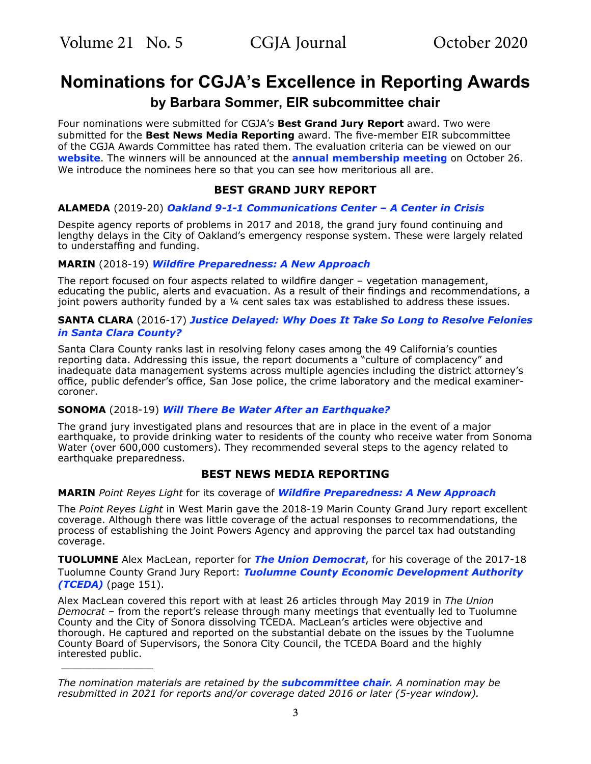$\overline{\phantom{a}}$  , where the contract of the contract of the contract of the contract of the contract of the contract of the contract of the contract of the contract of the contract of the contract of the contract of the contr

## **Nominations for CGJA's Excellence in Reporting Awards**

### **by Barbara Sommer, EIR subcommittee chair**

Four nominations were submitted for CGJA's **Best Grand Jury Report** award. Two were submitted for the **Best News Media Reporting** award. The five-member EIR subcommittee of the CGJA Awards Committee has rated them. The evaluation criteria can be viewed on our **[website](http://cgja.org/excellence-reporting-award)**. The winners will be announced at the **[annual membership meeting](https://cgja.org/annual-conference)** on October 26. We introduce the nominees here so that you can see how meritorious all are.

### **BEST GRAND JURY REPORT**

#### **ALAMEDA** (2019-20) *Oakland 9[-1-1 Communications Center – A Center in Crisis](http://grandjury.acgov.org/grandjury-assets/docs/2019-2020/Oakland911.pdf)*

Despite agency reports of problems in 2017 and 2018, the grand jury found continuing and lengthy delays in the City of Oakland's emergency response system. These were largely related to understaffing and funding.

#### **MARIN** (2018-19) *[Wildfire Preparedness: A New Approach](https://www.marincounty.org/depts/gj/reports-and-responses/reports-responses/2018-19/wildfire-preparedness-a-new-approach)*

The report focused on four aspects related to wildfire danger – vegetation management, educating the public, alerts and evacuation. As a result of their findings and recommendations, a joint powers authority funded by a ¼ cent sales tax was established to address these issues.

#### **SANTA CLARA** (2016-17) *[Justice Delayed: Why Does It Take So Long to Resolve Felonies](https://www.scscourt.org/court_divisions/civil/cgj/grand_jury_archive.shtml) [in Santa Clara County?](https://www.scscourt.org/court_divisions/civil/cgj/grand_jury_archive.shtml)*

Santa Clara County ranks last in resolving felony cases among the 49 California's counties reporting data. Addressing this issue, the report documents a "culture of complacency" and inadequate data management systems across multiple agencies including the district attorney's office, public defender's office, San Jose police, the crime laboratory and the medical examinercoroner.

#### **SONOMA** (2018-19) *[Will There Be Water After an Earthquake?](http://sonoma.courts.ca.gov/sites/all/assets/pdfs/general-info/grand-jury/2018-2019/WaterReport.pdf)*

The grand jury investigated plans and resources that are in place in the event of a major earthquake, to provide drinking water to residents of the county who receive water from Sonoma Water (over 600,000 customers). They recommended several steps to the agency related to earthquake preparedness.

### **BEST NEWS MEDIA REPORTING**

#### **MARIN** *Point Reyes Light* for its coverage of *[Wildfire Preparedness: A New Approach](https://www.marincounty.org/depts/gj/reports-and-responses/reports-responses/2018-19/wildfire-preparedness-a-new-approach)*

The *Point Reyes Light* in West Marin gave the 2018-19 Marin County Grand Jury report excellent coverage. Although there was little coverage of the actual responses to recommendations, the process of establishing the Joint Powers Agency and approving the parcel tax had outstanding coverage.

**TUOLUMNE** Alex MacLean, reporter for *[The Union Democrat](https://www.uniondemocrat.com/)*, for his coverage of the 2017-18 Tuolumne County Grand Jury Report: *[Tuolumne County Economic Development Authority](https://www.tuolumnecounty.ca.gov/DocumentCenter/View/10852/GRAND_JURY_FINAL_REPORT-2017-2018)  (TCEDA)* (page 151).

Alex MacLean covered this report with at least 26 articles through May 2019 in *The Union Democrat* – from the report's release through many meetings that eventually led to Tuolumne County and the City of Sonora dissolving TCEDA. MacLean's articles were objective and thorough. He captured and reported on the substantial debate on the issues by the Tuolumne County Board of Supervisors, the Sonora City Council, the TCEDA Board and the highly interested public.

*The nomination materials are retained by the [subcommittee chair](mailto:basommer%40ucdavis.edu?subject=CGJA%20EIR). A nomination may be resubmitted in 2021 for reports and/or coverage dated 2016 or later (5-year window).*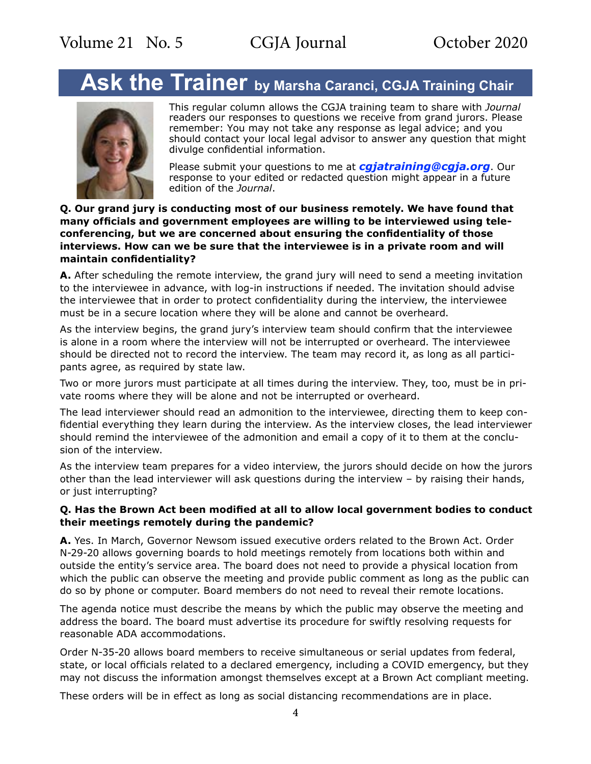# **Ask the Trainer by Marsha Caranci, CGJA Training Chair**



This regular column allows the CGJA training team to share with *Journal* readers our responses to questions we receive from grand jurors. Please remember: You may not take any response as legal advice; and you should contact your local legal advisor to answer any question that might divulge confidential information.

Please submit your questions to me at *[cgjatraining@cgja.org](mailto:cgjatraining%40cgja.org?subject=CGJA%20Training)*. Our response to your edited or redacted question might appear in a future edition of the *Journal*.

#### **Q. Our grand jury is conducting most of our business remotely. We have found that many officials and government employees are willing to be interviewed using teleconferencing, but we are concerned about ensuring the confidentiality of those interviews. How can we be sure that the interviewee is in a private room and will maintain confidentiality?**

**A.** After scheduling the remote interview, the grand jury will need to send a meeting invitation to the interviewee in advance, with log-in instructions if needed. The invitation should advise the interviewee that in order to protect confidentiality during the interview, the interviewee must be in a secure location where they will be alone and cannot be overheard.

As the interview begins, the grand jury's interview team should confirm that the interviewee is alone in a room where the interview will not be interrupted or overheard. The interviewee should be directed not to record the interview. The team may record it, as long as all participants agree, as required by state law.

Two or more jurors must participate at all times during the interview. They, too, must be in private rooms where they will be alone and not be interrupted or overheard.

The lead interviewer should read an admonition to the interviewee, directing them to keep confidential everything they learn during the interview. As the interview closes, the lead interviewer should remind the interviewee of the admonition and email a copy of it to them at the conclusion of the interview.

As the interview team prepares for a video interview, the jurors should decide on how the jurors other than the lead interviewer will ask questions during the interview – by raising their hands, or just interrupting?

### **Q. Has the Brown Act been modified at all to allow local government bodies to conduct their meetings remotely during the pandemic?**

**A.** Yes. In March, Governor Newsom issued executive orders related to the Brown Act. Order N-29-20 allows governing boards to hold meetings remotely from locations both within and outside the entity's service area. The board does not need to provide a physical location from which the public can observe the meeting and provide public comment as long as the public can do so by phone or computer. Board members do not need to reveal their remote locations.

The agenda notice must describe the means by which the public may observe the meeting and address the board. The board must advertise its procedure for swiftly resolving requests for reasonable ADA accommodations.

Order N-35-20 allows board members to receive simultaneous or serial updates from federal, state, or local officials related to a declared emergency, including a COVID emergency, but they may not discuss the information amongst themselves except at a Brown Act compliant meeting.

These orders will be in effect as long as social distancing recommendations are in place.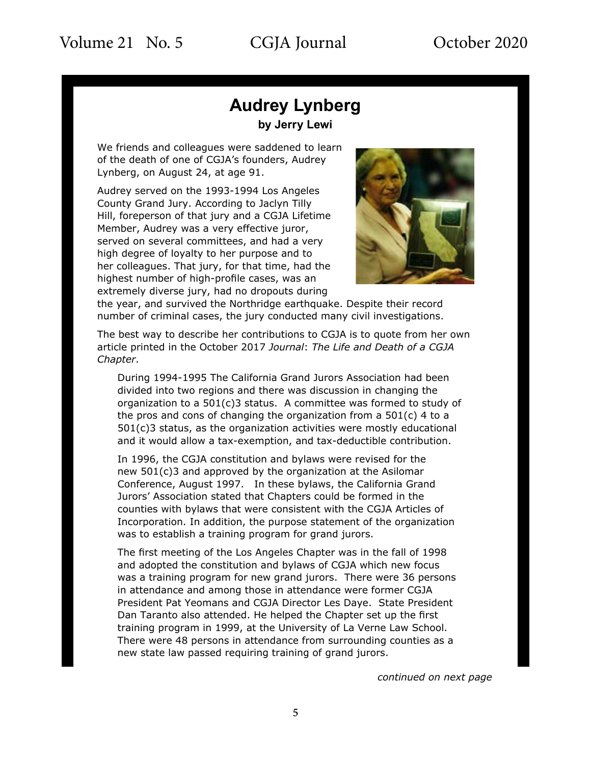# **Audrey Lynberg**

**by Jerry Lewi**

We friends and colleagues were saddened to learn of the death of one of CGJA's founders, Audrey Lynberg, on August 24, at age 91.

Audrey served on the 1993-1994 Los Angeles County Grand Jury. According to Jaclyn Tilly Hill, foreperson of that jury and a CGJA Lifetime Member, Audrey was a very effective juror, served on several committees, and had a very high degree of loyalty to her purpose and to her colleagues. That jury, for that time, had the highest number of high-profile cases, was an extremely diverse jury, had no dropouts during



the year, and survived the Northridge earthquake. Despite their record number of criminal cases, the jury conducted many civil investigations.

The best way to describe her contributions to CGJA is to quote from her own article printed in the October 2017 *Journal*: *The Life and Death of a CGJA Chapter*.

During 1994-1995 The California Grand Jurors Association had been divided into two regions and there was discussion in changing the organization to a 501(c)3 status. A committee was formed to study of the pros and cons of changing the organization from a  $501(c)$  4 to a  $501(c)$ 3 status, as the organization activities were mostly educational and it would allow a tax-exemption, and tax-deductible contribution.

In 1996, the CGJA constitution and bylaws were revised for the new 501(c)3 and approved by the organization at the Asilomar Conference, August 1997. In these bylaws, the California Grand Jurors' Association stated that Chapters could be formed in the counties with bylaws that were consistent with the CGJA Articles of Incorporation. In addition, the purpose statement of the organization was to establish a training program for grand jurors.

The first meeting of the Los Angeles Chapter was in the fall of 1998 and adopted the constitution and bylaws of CGJA which new focus was a training program for new grand jurors. There were 36 persons in attendance and among those in attendance were former CGJA President Pat Yeomans and CGJA Director Les Daye. State President Dan Taranto also attended. He helped the Chapter set up the first training program in 1999, at the University of La Verne Law School. There were 48 persons in attendance from surrounding counties as a new state law passed requiring training of grand jurors.

*continued on next page*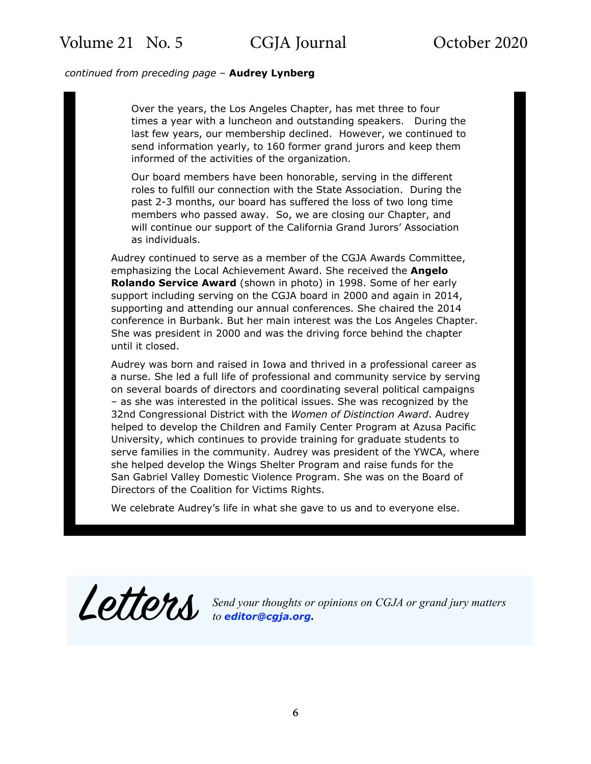#### *continued from preceding page* – **Audrey Lynberg**

Over the years, the Los Angeles Chapter, has met three to four times a year with a luncheon and outstanding speakers. During the last few years, our membership declined. However, we continued to send information yearly, to 160 former grand jurors and keep them informed of the activities of the organization.

Our board members have been honorable, serving in the different roles to fulfill our connection with the State Association. During the past 2-3 months, our board has suffered the loss of two long time members who passed away. So, we are closing our Chapter, and will continue our support of the California Grand Jurors' Association as individuals.

Audrey continued to serve as a member of the CGJA Awards Committee, emphasizing the Local Achievement Award. She received the **Angelo Rolando Service Award** (shown in photo) in 1998. Some of her early support including serving on the CGJA board in 2000 and again in 2014, supporting and attending our annual conferences. She chaired the 2014 conference in Burbank. But her main interest was the Los Angeles Chapter. She was president in 2000 and was the driving force behind the chapter until it closed.

Audrey was born and raised in Iowa and thrived in a professional career as a nurse. She led a full life of professional and community service by serving on several boards of directors and coordinating several political campaigns – as she was interested in the political issues. She was recognized by the 32nd Congressional District with the *Women of Distinction Award*. Audrey helped to develop the Children and Family Center Program at Azusa Pacific University, which continues to provide training for graduate students to serve families in the community. Audrey was president of the YWCA, where she helped develop the Wings Shelter Program and raise funds for the San Gabriel Valley Domestic Violence Program. She was on the Board of Directors of the Coalition for Victims Rights.

We celebrate Audrey's life in what she gave to us and to everyone else.

Letters *Send your thoughts or opinions on CGJA or grand jury matters to [editor@cgja.org](mailto:editor%40cgja.org?subject=)***.**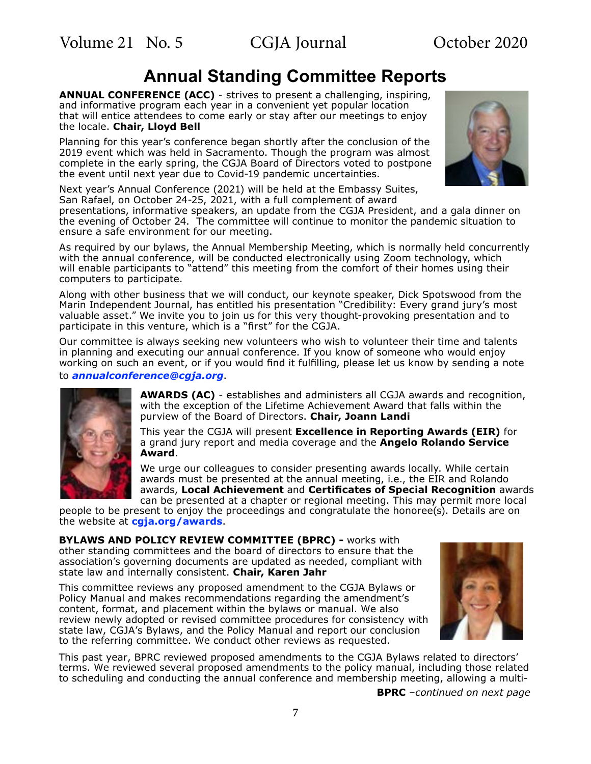## **Annual Standing Committee Reports**

**ANNUAL CONFERENCE (ACC)** - strives to present a challenging, inspiring, and informative program each year in a convenient yet popular location that will entice attendees to come early or stay after our meetings to enjoy the locale. **Chair, Lloyd Bell**

Planning for this year's conference began shortly after the conclusion of the 2019 event which was held in Sacramento. Though the program was almost complete in the early spring, the CGJA Board of Directors voted to postpone the event until next year due to Covid-19 pandemic uncertainties.

Next year's Annual Conference (2021) will be held at the Embassy Suites, San Rafael, on October 24-25, 2021, with a full complement of award

presentations, informative speakers, an update from the CGJA President, and a gala dinner on the evening of October 24. The committee will continue to monitor the pandemic situation to ensure a safe environment for our meeting.

As required by our bylaws, the Annual Membership Meeting, which is normally held concurrently with the annual conference, will be conducted electronically using Zoom technology, which will enable participants to "attend" this meeting from the comfort of their homes using their computers to participate.

Along with other business that we will conduct, our keynote speaker, Dick Spotswood from the Marin Independent Journal, has entitled his presentation "Credibility: Every grand jury's most valuable asset." We invite you to join us for this very thought-provoking presentation and to participate in this venture, which is a "first" for the CGJA.

Our committee is always seeking new volunteers who wish to volunteer their time and talents in planning and executing our annual conference. If you know of someone who would enjoy working on such an event, or if you would find it fulfilling, please let us know by sending a note to *[annualconference@cgja.org](mailto:annualconference%40cgja.org.?subject=CGJA%20ACC)*.



**AWARDS (AC)** - establishes and administers all CGJA awards and recognition, with the exception of the Lifetime Achievement Award that falls within the purview of the Board of Directors. **Chair, Joann Landi**

This year the CGJA will present **Excellence in Reporting Awards (EIR)** for a grand jury report and media coverage and the **Angelo Rolando Service Award**.

We urge our colleagues to consider presenting awards locally. While certain awards must be presented at the annual meeting, i.e., the EIR and Rolando awards, **Local Achievement** and **Certificates of Special Recognition** awards can be presented at a chapter or regional meeting. This may permit more local

people to be present to enjoy the proceedings and congratulate the honoree(s). Details are on the website at **[cgja.org/awards](https://cgja.org/awards)**.

**BYLAWS AND POLICY REVIEW COMMITTEE (BPRC) - works with** other standing committees and the board of directors to ensure that the association's governing documents are updated as needed, compliant with state law and internally consistent. **Chair, Karen Jahr**

This committee reviews any proposed amendment to the CGJA Bylaws or Policy Manual and makes recommendations regarding the amendment's content, format, and placement within the bylaws or manual. We also review newly adopted or revised committee procedures for consistency with state law, CGJA's Bylaws, and the Policy Manual and report our conclusion to the referring committee. We conduct other reviews as requested.



This past year, BPRC reviewed proposed amendments to the CGJA Bylaws related to directors' terms. We reviewed several proposed amendments to the policy manual, including those related to scheduling and conducting the annual conference and membership meeting, allowing a multi-

**BPRC** *–continued on next page*

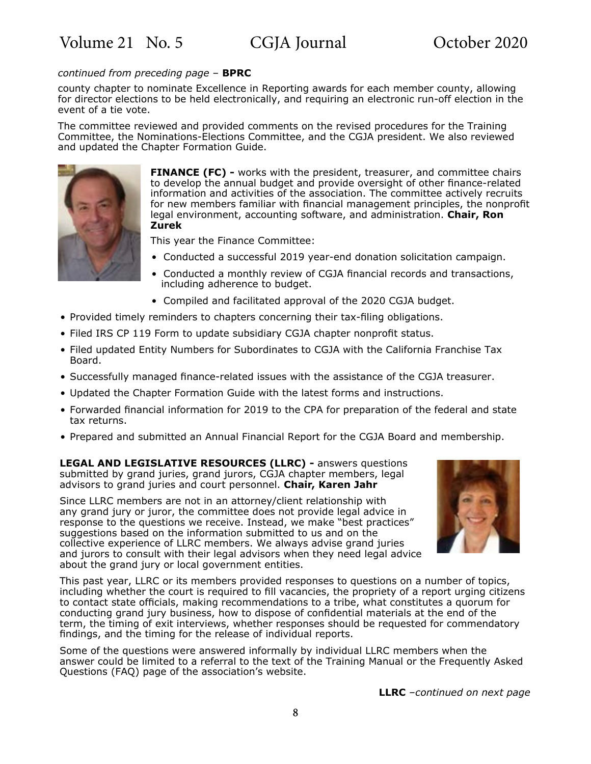#### *continued from preceding page* – **BPRC**

county chapter to nominate Excellence in Reporting awards for each member county, allowing for director elections to be held electronically, and requiring an electronic run-off election in the event of a tie vote.

The committee reviewed and provided comments on the revised procedures for the Training Committee, the Nominations-Elections Committee, and the CGJA president. We also reviewed and updated the Chapter Formation Guide.



**FINANCE (FC) -** works with the president, treasurer, and committee chairs to develop the annual budget and provide oversight of other finance-related information and activities of the association. The committee actively recruits for new members familiar with financial management principles, the nonprofit legal environment, accounting software, and administration. **Chair, Ron Zurek**

This year the Finance Committee:

- Conducted a successful 2019 year-end donation solicitation campaign.
- Conducted a monthly review of CGJA financial records and transactions, including adherence to budget.
- Compiled and facilitated approval of the 2020 CGJA budget.
- Provided timely reminders to chapters concerning their tax-filing obligations.
- Filed IRS CP 119 Form to update subsidiary CGJA chapter nonprofit status.
- Filed updated Entity Numbers for Subordinates to CGJA with the California Franchise Tax Board.
- Successfully managed finance-related issues with the assistance of the CGJA treasurer.
- Updated the Chapter Formation Guide with the latest forms and instructions.
- Forwarded financial information for 2019 to the CPA for preparation of the federal and state tax returns.
- Prepared and submitted an Annual Financial Report for the CGJA Board and membership.

**LEGAL AND LEGISLATIVE RESOURCES (LLRC) -** answers questions submitted by grand juries, grand jurors, CGJA chapter members, legal advisors to grand juries and court personnel. **Chair, Karen Jahr**

Since LLRC members are not in an attorney/client relationship with any grand jury or juror, the committee does not provide legal advice in response to the questions we receive. Instead, we make "best practices" suggestions based on the information submitted to us and on the collective experience of LLRC members. We always advise grand juries and jurors to consult with their legal advisors when they need legal advice about the grand jury or local government entities.



This past year, LLRC or its members provided responses to questions on a number of topics, including whether the court is required to fill vacancies, the propriety of a report urging citizens to contact state officials, making recommendations to a tribe, what constitutes a quorum for conducting grand jury business, how to dispose of confidential materials at the end of the term, the timing of exit interviews, whether responses should be requested for commendatory findings, and the timing for the release of individual reports.

Some of the questions were answered informally by individual LLRC members when the answer could be limited to a referral to the text of the Training Manual or the Frequently Asked Questions (FAQ) page of the association's website.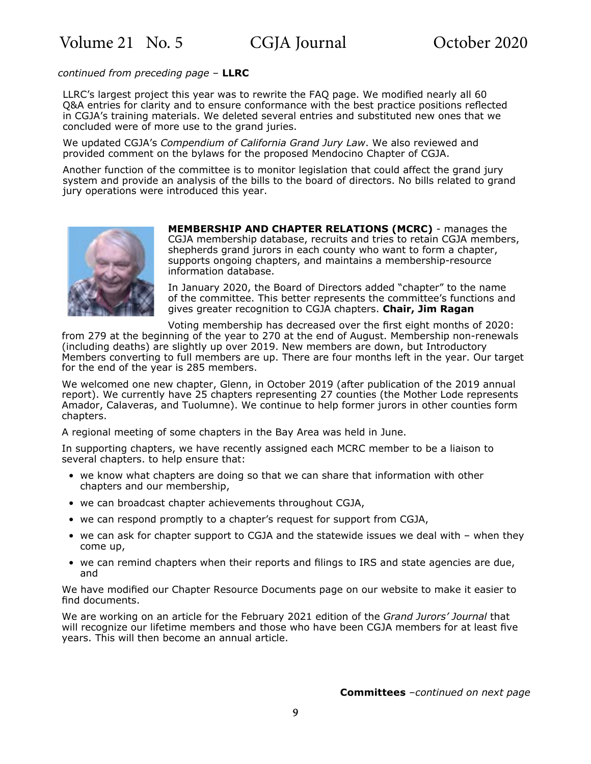*continued from preceding page* – **LLRC**

LLRC's largest project this year was to rewrite the FAQ page. We modified nearly all 60 Q&A entries for clarity and to ensure conformance with the best practice positions reflected in CGJA's training materials. We deleted several entries and substituted new ones that we concluded were of more use to the grand juries.

We updated CGJA's *Compendium of California Grand Jury Law*. We also reviewed and provided comment on the bylaws for the proposed Mendocino Chapter of CGJA.

Another function of the committee is to monitor legislation that could affect the grand jury system and provide an analysis of the bills to the board of directors. No bills related to grand jury operations were introduced this year.



**MEMBERSHIP AND CHAPTER RELATIONS (MCRC)** - manages the CGJA membership database, recruits and tries to retain CGJA members, shepherds grand jurors in each county who want to form a chapter, supports ongoing chapters, and maintains a membership-resource information database.

In January 2020, the Board of Directors added "chapter" to the name of the committee. This better represents the committee's functions and gives greater recognition to CGJA chapters. **Chair, Jim Ragan**

Voting membership has decreased over the first eight months of 2020:

from 279 at the beginning of the year to 270 at the end of August. Membership non-renewals (including deaths) are slightly up over 2019. New members are down, but Introductory Members converting to full members are up. There are four months left in the year. Our target for the end of the year is 285 members.

We welcomed one new chapter, Glenn, in October 2019 (after publication of the 2019 annual report). We currently have 25 chapters representing 27 counties (the Mother Lode represents Amador, Calaveras, and Tuolumne). We continue to help former jurors in other counties form chapters.

A regional meeting of some chapters in the Bay Area was held in June.

In supporting chapters, we have recently assigned each MCRC member to be a liaison to several chapters. to help ensure that:

- we know what chapters are doing so that we can share that information with other chapters and our membership,
- we can broadcast chapter achievements throughout CGJA,
- we can respond promptly to a chapter's request for support from CGJA,
- we can ask for chapter support to CGJA and the statewide issues we deal with when they come up,
- we can remind chapters when their reports and filings to IRS and state agencies are due, and

We have modified our Chapter Resource Documents page on our website to make it easier to find documents.

We are working on an article for the February 2021 edition of the *Grand Jurors' Journal* that will recognize our lifetime members and those who have been CGJA members for at least five years. This will then become an annual article.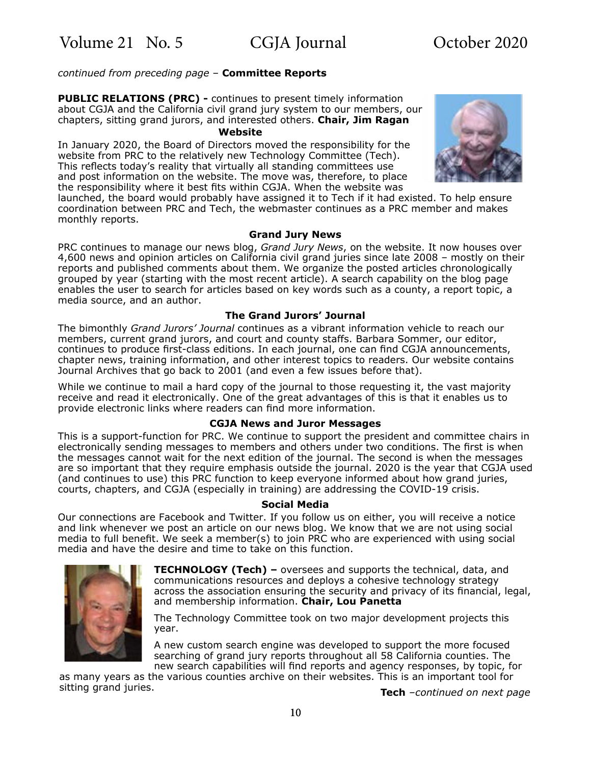#### *continued from preceding page* – **Committee Reports**

**PUBLIC RELATIONS (PRC) -** continues to present timely information about CGJA and the California civil grand jury system to our members, our chapters, sitting grand jurors, and interested others. **Chair, Jim Ragan**

#### **Website**

In January 2020, the Board of Directors moved the responsibility for the website from PRC to the relatively new Technology Committee (Tech). This reflects today's reality that virtually all standing committees use and post information on the website. The move was, therefore, to place the responsibility where it best fits within CGJA. When the website was



launched, the board would probably have assigned it to Tech if it had existed. To help ensure coordination between PRC and Tech, the webmaster continues as a PRC member and makes monthly reports.

#### **Grand Jury News**

PRC continues to manage our news blog, *Grand Jury News*, on the website. It now houses over 4,600 news and opinion articles on California civil grand juries since late 2008 – mostly on their reports and published comments about them. We organize the posted articles chronologically grouped by year (starting with the most recent article). A search capability on the blog page enables the user to search for articles based on key words such as a county, a report topic, a media source, and an author.

#### **The Grand Jurors' Journal**

The bimonthly *Grand Jurors' Journal* continues as a vibrant information vehicle to reach our members, current grand jurors, and court and county staffs. Barbara Sommer, our editor, continues to produce first-class editions. In each journal, one can find CGJA announcements, chapter news, training information, and other interest topics to readers. Our website contains Journal Archives that go back to 2001 (and even a few issues before that).

While we continue to mail a hard copy of the journal to those requesting it, the vast majority receive and read it electronically. One of the great advantages of this is that it enables us to provide electronic links where readers can find more information.

#### **CGJA News and Juror Messages**

This is a support-function for PRC. We continue to support the president and committee chairs in electronically sending messages to members and others under two conditions. The first is when the messages cannot wait for the next edition of the journal. The second is when the messages are so important that they require emphasis outside the journal. 2020 is the year that CGJA used (and continues to use) this PRC function to keep everyone informed about how grand juries, courts, chapters, and CGJA (especially in training) are addressing the COVID-19 crisis.

#### **Social Media**

Our connections are Facebook and Twitter. If you follow us on either, you will receive a notice and link whenever we post an article on our news blog. We know that we are not using social media to full benefit. We seek a member(s) to join PRC who are experienced with using social media and have the desire and time to take on this function.



**TECHNOLOGY (Tech) –** oversees and supports the technical, data, and communications resources and deploys a cohesive technology strategy across the association ensuring the security and privacy of its financial, legal, and membership information. **Chair, Lou Panetta**

The Technology Committee took on two major development projects this year.

A new custom search engine was developed to support the more focused searching of grand jury reports throughout all 58 California counties. The new search capabilities will find reports and agency responses, by topic, for

as many years as the various counties archive on their websites. This is an important tool for sitting grand juries. **Tech** –continued on next page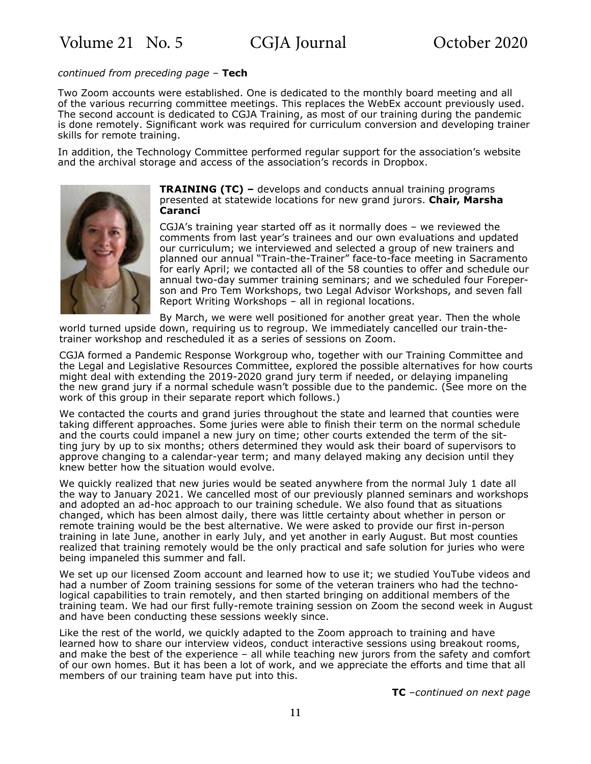#### *continued from preceding page* – **Tech**

Two Zoom accounts were established. One is dedicated to the monthly board meeting and all of the various recurring committee meetings. This replaces the WebEx account previously used. The second account is dedicated to CGJA Training, as most of our training during the pandemic is done remotely. Significant work was required for curriculum conversion and developing trainer skills for remote training.

In addition, the Technology Committee performed regular support for the association's website and the archival storage and access of the association's records in Dropbox.



**TRAINING (TC) –** develops and conducts annual training programs presented at statewide locations for new grand jurors. **Chair, Marsha Caranci**

CGJA's training year started off as it normally does – we reviewed the comments from last year's trainees and our own evaluations and updated our curriculum; we interviewed and selected a group of new trainers and planned our annual "Train-the-Trainer" face-to-face meeting in Sacramento for early April; we contacted all of the 58 counties to offer and schedule our annual two-day summer training seminars; and we scheduled four Foreperson and Pro Tem Workshops, two Legal Advisor Workshops, and seven fall Report Writing Workshops – all in regional locations.

By March, we were well positioned for another great year. Then the whole world turned upside down, requiring us to regroup. We immediately cancelled our train-thetrainer workshop and rescheduled it as a series of sessions on Zoom.

CGJA formed a Pandemic Response Workgroup who, together with our Training Committee and the Legal and Legislative Resources Committee, explored the possible alternatives for how courts might deal with extending the 2019-2020 grand jury term if needed, or delaying impaneling the new grand jury if a normal schedule wasn't possible due to the pandemic. (See more on the work of this group in their separate report which follows.)

We contacted the courts and grand juries throughout the state and learned that counties were taking different approaches. Some juries were able to finish their term on the normal schedule and the courts could impanel a new jury on time; other courts extended the term of the sitting jury by up to six months; others determined they would ask their board of supervisors to approve changing to a calendar-year term; and many delayed making any decision until they knew better how the situation would evolve.

We quickly realized that new juries would be seated anywhere from the normal July 1 date all the way to January 2021. We cancelled most of our previously planned seminars and workshops and adopted an ad-hoc approach to our training schedule. We also found that as situations changed, which has been almost daily, there was little certainty about whether in person or remote training would be the best alternative. We were asked to provide our first in-person training in late June, another in early July, and yet another in early August. But most counties realized that training remotely would be the only practical and safe solution for juries who were being impaneled this summer and fall.

We set up our licensed Zoom account and learned how to use it; we studied YouTube videos and had a number of Zoom training sessions for some of the veteran trainers who had the technological capabilities to train remotely, and then started bringing on additional members of the training team. We had our first fully-remote training session on Zoom the second week in August and have been conducting these sessions weekly since.

Like the rest of the world, we quickly adapted to the Zoom approach to training and have learned how to share our interview videos, conduct interactive sessions using breakout rooms, and make the best of the experience – all while teaching new jurors from the safety and comfort of our own homes. But it has been a lot of work, and we appreciate the efforts and time that all members of our training team have put into this.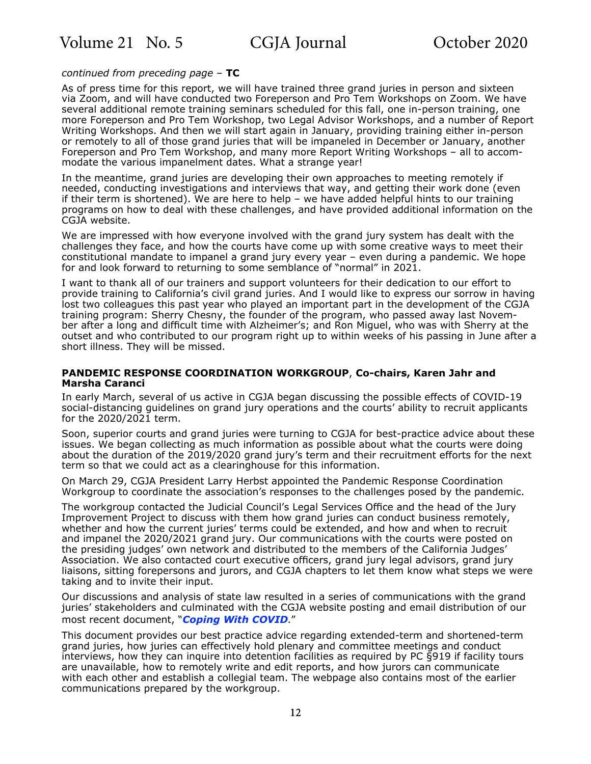#### *continued from preceding page* – **TC**

As of press time for this report, we will have trained three grand juries in person and sixteen via Zoom, and will have conducted two Foreperson and Pro Tem Workshops on Zoom. We have several additional remote training seminars scheduled for this fall, one in-person training, one more Foreperson and Pro Tem Workshop, two Legal Advisor Workshops, and a number of Report Writing Workshops. And then we will start again in January, providing training either in-person or remotely to all of those grand juries that will be impaneled in December or January, another Foreperson and Pro Tem Workshop, and many more Report Writing Workshops – all to accommodate the various impanelment dates. What a strange year!

In the meantime, grand juries are developing their own approaches to meeting remotely if needed, conducting investigations and interviews that way, and getting their work done (even if their term is shortened). We are here to help – we have added helpful hints to our training programs on how to deal with these challenges, and have provided additional information on the CGJA website.

We are impressed with how everyone involved with the grand jury system has dealt with the challenges they face, and how the courts have come up with some creative ways to meet their constitutional mandate to impanel a grand jury every year – even during a pandemic. We hope for and look forward to returning to some semblance of "normal" in 2021.

I want to thank all of our trainers and support volunteers for their dedication to our effort to provide training to California's civil grand juries. And I would like to express our sorrow in having lost two colleagues this past year who played an important part in the development of the CGJA training program: Sherry Chesny, the founder of the program, who passed away last November after a long and difficult time with Alzheimer's; and Ron Miguel, who was with Sherry at the outset and who contributed to our program right up to within weeks of his passing in June after a short illness. They will be missed.

#### **PANDEMIC RESPONSE COORDINATION WORKGROUP**, **Co-chairs, Karen Jahr and Marsha Caranci**

In early March, several of us active in CGJA began discussing the possible effects of COVID-19 social-distancing guidelines on grand jury operations and the courts' ability to recruit applicants for the 2020/2021 term.

Soon, superior courts and grand juries were turning to CGJA for best-practice advice about these issues. We began collecting as much information as possible about what the courts were doing about the duration of the 2019/2020 grand jury's term and their recruitment efforts for the next term so that we could act as a clearinghouse for this information.

On March 29, CGJA President Larry Herbst appointed the Pandemic Response Coordination Workgroup to coordinate the association's responses to the challenges posed by the pandemic.

The workgroup contacted the Judicial Council's Legal Services Office and the head of the Jury Improvement Project to discuss with them how grand juries can conduct business remotely, whether and how the current juries' terms could be extended, and how and when to recruit and impanel the 2020/2021 grand jury. Our communications with the courts were posted on the presiding judges' own network and distributed to the members of the California Judges' Association. We also contacted court executive officers, grand jury legal advisors, grand jury liaisons, sitting forepersons and jurors, and CGJA chapters to let them know what steps we were taking and to invite their input.

Our discussions and analysis of state law resulted in a series of communications with the grand juries' stakeholders and culminated with the CGJA website posting and email distribution of our most recent document, "*[Coping With COVID](https://cgja.org/coronavirus-guidelines)*."

This document provides our best practice advice regarding extended-term and shortened-term grand juries, how juries can effectively hold plenary and committee meetings and conduct interviews, how they can inquire into detention facilities as required by PC §919 if facility tours are unavailable, how to remotely write and edit reports, and how jurors can communicate with each other and establish a collegial team. The webpage also contains most of the earlier communications prepared by the workgroup.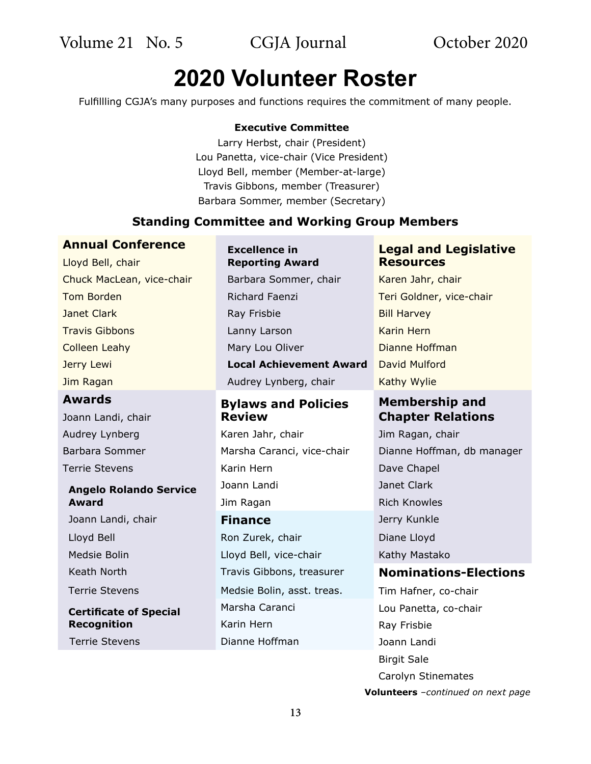# **2020 Volunteer Roster**

Fulfillling CGJA's many purposes and functions requires the commitment of many people.

#### **Executive Committee**

Larry Herbst, chair (President) Lou Panetta, vice-chair (Vice President) Lloyd Bell, member (Member-at-large) Travis Gibbons, member (Treasurer) Barbara Sommer, member (Secretary)

### **Standing Committee and Working Group Members**

### **Annual Conference Excellence** in

Jim Ragan **Audrey Lynberg, chair** Kathy Wylie **Awards Bylaws and Policies**  Joann Landi, chair **Chapter Relations**

### **Angelo Rolando Service Award**

Joann Landi, chair **Finance** Jerry Kunkle

**Certificate of Special Recognition**

## **Reporting Award** Lloyd Bell, chair **Resources** Chuck MacLean, vice-chair Barbara Sommer, chair Karen Jahr, chair Tom Borden **Richard Faenzi** Teri Goldner, vice-chair **Janet Clark Clark Ray Frisbie Bill Harvey Travis Gibbons Lanny Lanny Larson** Karin Hern **Colleen Leahy Mary Lou Oliver Colleen Leahy Colleen Leahy** Jerry Lewi **Local Achievement Award** David Mulford

# **Review**

Audrey Lynberg **Karen Jahr, chair** Jim Ragan, chair Terrie Stevens **Karin Hern** Marin Hern Dave Chapel Joann Landi Janet Clark Jim Ragan **Rich Knowles** 

Lloyd Bell Ron Zurek, chair Diane Lloyd Medsie Bolin **Mediate Bolin Lloyd Bell, vice-chair** Kathy Mastako Keath North Travis Gibbons, treasurer Terrie Stevens Medsie Bolin, asst. treas. Marsha Caranci Karin Hern Terrie Stevens **Dianne Hoffman** 

# **Legal and Legislative**

# **Membership and**

- Barbara Sommer Marsha Caranci, vice-chair Dianne Hoffman, db manager **Nominations-Elections**
	- Tim Hafner, co-chair Lou Panetta, co-chair Ray Frisbie Joann Landi Birgit Sale Carolyn Stinemates **Volunteers** *–continued on next page*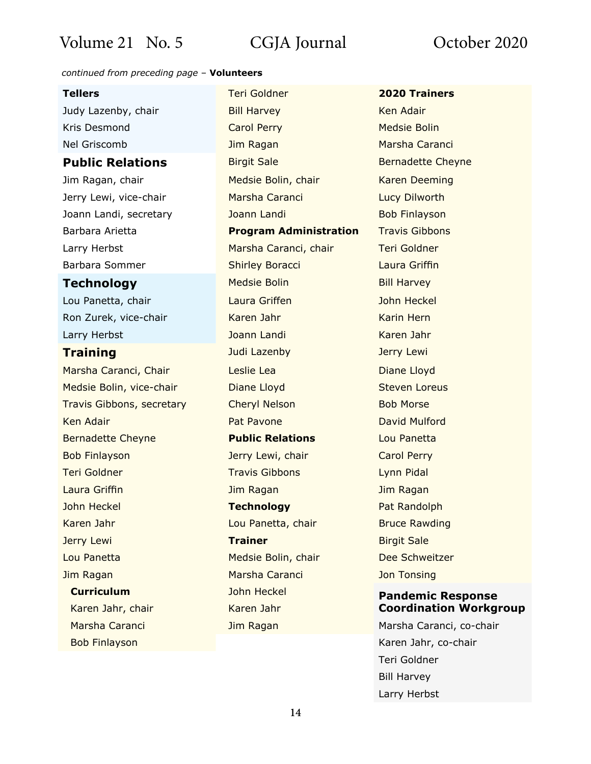#### *continued from preceding page* – **Volunteers**

- Marsha Caranci, Chair **Leslie Lea Leslie Lea Chair Chair** Diane Lloyd Medsie Bolin, vice-chair **Diane Lloyd** Steven Loreus Travis Gibbons, secretary Cheryl Nelson Bob Morse **Ken Adair** Pat Pavone David Mulford **Pat Pavone** David Mulford Bernadette Cheyne **Public Relations** Lou Panetta Bob Finlayson **Matter Carol Perry Lewi, chair** Carol Perry Teri Goldner Travis Gibbons Lynn Pidal Laura Griffin **Markov Markov Jim Ragan** Jim Ragan Jim Ragan John Heckel **Technology** Pat Randolph Karen Jahr Lou Panetta, chair Bruce Rawding **Jerry Lewi Trainer Trainer** Birgit Sale Lou Panetta Medsie Bolin, chair Dee Schweitzer Jim Ragan Marsha Caranci Jon Tonsing **Curriculum** John Heckel **Pandemic Response**
	-

**Tellers** Teri Goldner **2020 Trainers** Judy Lazenby, chair **Bill Harvey** Manus Ren Adair **Kris Desmond Carol Perry Carol Perry Medsie Bolin** Nel Griscomb **IIm Ragan** Marsha Caranci **Public Relations** Birgit Sale Bernadette Cheyne Jim Ragan, chair **Medsie Bolin, chair Karen Deeming** Jerry Lewi, vice-chair **Marsha Caranci** Marsha Caranci Lucy Dilworth Joann Landi, secretary **Solution Landi** Bob Finlayson Barbara Arietta **Program Administration** Travis Gibbons Larry Herbst Marsha Caranci, chair Teri Goldner Barbara Sommer **Shirley Boracci** Caura Griffin **Technology** Medsie Bolin Bill Harvey Lou Panetta, chair Laura Griffen John Heckel Ron Zurek, vice-chair Karen Jahr Karen Jahr Karin Hern Larry Herbst **Market Landi** Joann Landi Karen Jahr **Training Contract Studies and Sudi Lazenby Contract Studies and Security Lewi** 

# Karen Jahr, chair **Karen Jahr** Karen Jahr **Coordination Workgroup**

Marsha Caranci **Marsha Caranci Narsha Caranci, co-chair** Jim Ragan Marsha Caranci, co-chair Bob Finlayson **Karen Jahr, co-chair** Karen Jahr, co-chair Teri Goldner Bill Harvey Larry Herbst